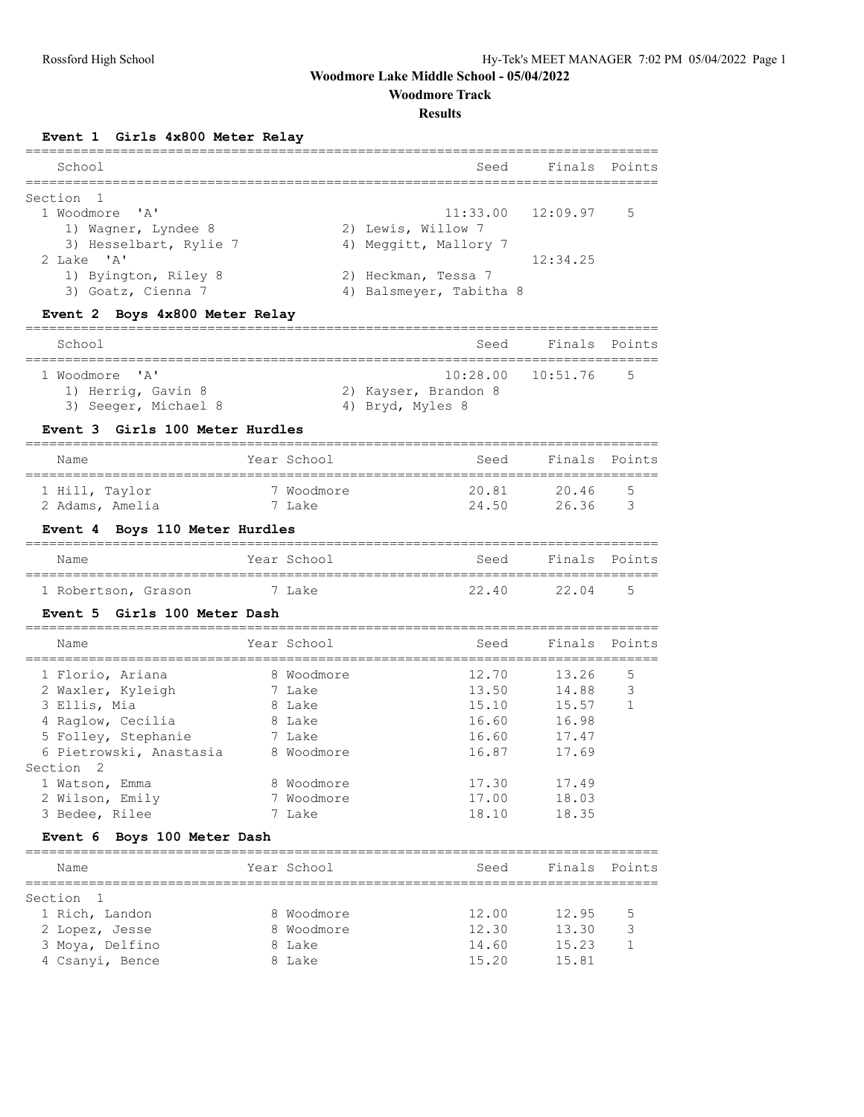**Woodmore Track**

### **Results**

## **Event 1 Girls 4x800 Meter Relay**

| School                 | Seed                    | Finals Points           |  |
|------------------------|-------------------------|-------------------------|--|
| Section 1              |                         |                         |  |
| 1 Woodmore 'A'         |                         | $11:33.00$ $12:09.97$ 5 |  |
| 1) Wagner, Lyndee 8    | 2) Lewis, Willow 7      |                         |  |
| 3) Hesselbart, Rylie 7 | 4) Meggitt, Mallory 7   |                         |  |
| 2 Lake 'A'             |                         | 12:34.25                |  |
| 1) Byington, Riley 8   | 2) Heckman, Tessa 7     |                         |  |
| 3) Goatz, Cienna 7     | 4) Balsmeyer, Tabitha 8 |                         |  |
|                        |                         |                         |  |

## **Event 2 Boys 4x800 Meter Relay**

| School                                                       | Seed                                     | Finals Points         |      |
|--------------------------------------------------------------|------------------------------------------|-----------------------|------|
| 1 Woodmore 'A'<br>1) Herrig, Gavin 8<br>3) Seeger, Michael 8 | 2) Kayser, Brandon 8<br>4) Bryd, Myles 8 | $10:28.00$ $10:51.76$ | $-5$ |

### **Event 3 Girls 100 Meter Hurdles**

| Name            | Year School | Seed  | Finals Points |                |
|-----------------|-------------|-------|---------------|----------------|
|                 |             |       |               |                |
| 1 Hill, Taylor  | 7 Woodmore  | 20.81 | 20.46         | $\overline{a}$ |
| 2 Adams, Amelia | 7 Lake      | 24.50 | 26.36         |                |

## **Event 4 Boys 110 Meter Hurdles**

| Name                |  | Year School | Seed  | Finals Points |      |
|---------------------|--|-------------|-------|---------------|------|
|                     |  |             |       |               |      |
| 1 Robertson, Grason |  | 7 Lake      | 22.40 | 22.04         | $-5$ |

### **Event 5 Girls 100 Meter Dash**

| Name                                                                        | Year School                              | Seed                             | Finals Points                    |        |
|-----------------------------------------------------------------------------|------------------------------------------|----------------------------------|----------------------------------|--------|
| 1 Florio, Ariana<br>2 Waxler, Kyleigh<br>3 Ellis, Mia<br>4 Raglow, Cecilia  | 8 Woodmore<br>7 Lake<br>8 Lake<br>8 Lake | 12.70<br>13.50<br>15.10<br>16.60 | 13.26<br>14.88<br>15.57<br>16.98 | 5<br>3 |
| 5 Folley, Stephanie<br>6 Pietrowski, Anastasia                              | 7 Lake<br>8 Woodmore                     | 16.60<br>16.87                   | 17.47<br>17.69                   |        |
| Section <sub>2</sub><br>1 Watson, Emma<br>2 Wilson, Emily<br>3 Bedee, Rilee | 8 Woodmore<br>7 Woodmore<br>7 Lake       | 17.30<br>17.00<br>18.10          | 17.49<br>18.03<br>18.35          |        |

## **Event 6 Boys 100 Meter Dash**

| Name            | Year School | Seed  | Finals Points |    |
|-----------------|-------------|-------|---------------|----|
|                 |             |       |               |    |
| Section 1       |             |       |               |    |
| 1 Rich, Landon  | 8 Woodmore  | 12.00 | 12.95         | .5 |
| 2 Lopez, Jesse  | 8 Woodmore  | 12.30 | 13.30         | հ  |
| 3 Moya, Delfino | 8 Lake      | 14.60 | 15.23         |    |
| 4 Csanyi, Bence | 8 Lake      | 15.20 | 15.81         |    |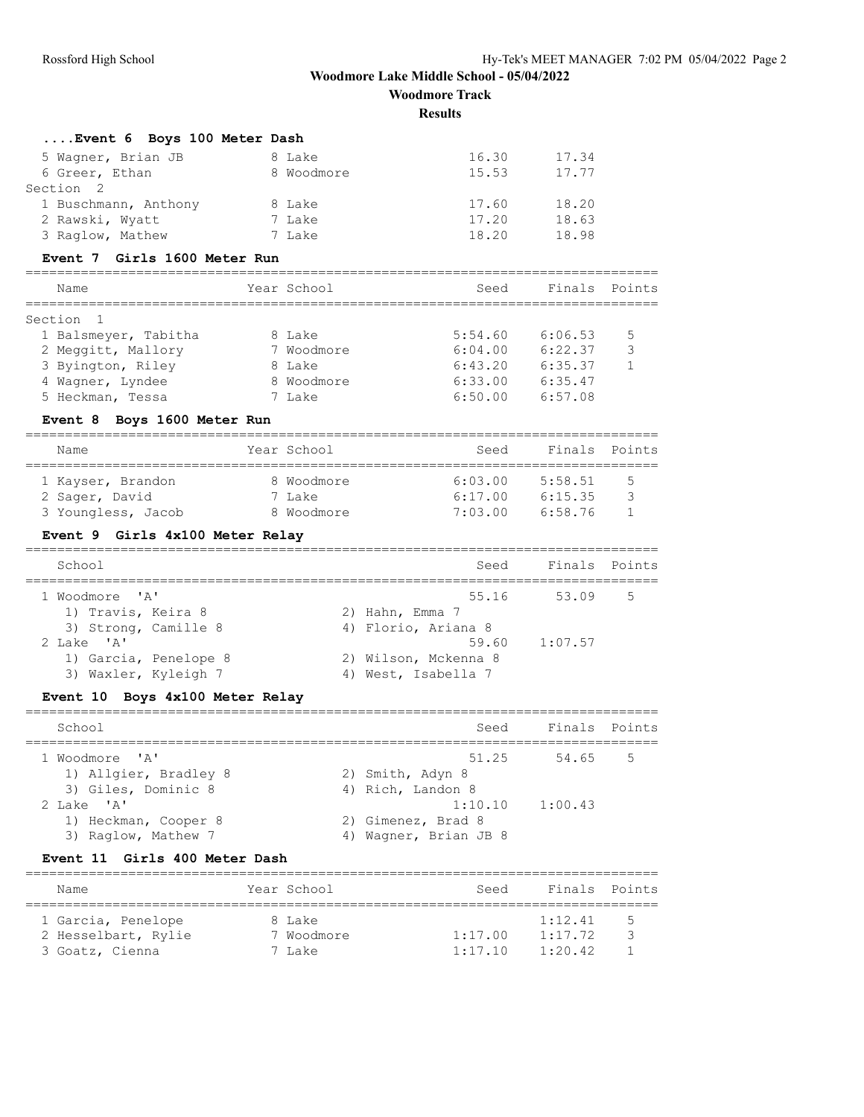# **Woodmore Lake Middle School - 05/04/2022 Woodmore Track**

**Results**

| Name                                                                  |        | Year School                      | Seed                                             | Finals             | Points            |
|-----------------------------------------------------------------------|--------|----------------------------------|--------------------------------------------------|--------------------|-------------------|
| Girls 400 Meter Dash<br><b>Event 11</b>                               |        |                                  |                                                  |                    |                   |
| 1) Heckman, Cooper 8<br>3) Raglow, Mathew 7                           |        |                                  | 2) Gimenez, Brad 8<br>4) Wagner, Brian JB 8      |                    |                   |
| 1) Allgier, Bradley 8<br>3) Giles, Dominic 8<br>2 Lake 'A'            |        |                                  | 2) Smith, Adyn 8<br>4) Rich, Landon 8<br>1:10.10 | 1:00.43            |                   |
| 1 Woodmore<br>$^{\prime}$ A $^{\prime}$                               |        |                                  | 51.25                                            | 54.65              | 5                 |
| School                                                                |        |                                  | Seed                                             |                    | Finals Points     |
| Boys 4x100 Meter Relay<br><b>Event 10</b><br>--------------------     |        |                                  |                                                  |                    |                   |
| 3) Waxler, Kyleigh 7                                                  |        |                                  | 4) West, Isabella 7                              |                    |                   |
| 2 Lake 'A'<br>1) Garcia, Penelope 8                                   |        |                                  | 59.60<br>2) Wilson, Mckenna 8                    | 1:07.57            |                   |
| 1) Travis, Keira 8<br>3) Strong, Camille 8                            |        |                                  | 2) Hahn, Emma 7<br>4) Florio, Ariana 8           |                    |                   |
| 1 Woodmore<br>$^{\prime}$ A $^{\prime}$                               |        |                                  | 55.16                                            | 53.09              | 5                 |
| School                                                                |        |                                  | Seed                                             | Finals             | Points            |
| Event 9 Girls 4x100 Meter Relay                                       |        |                                  |                                                  |                    |                   |
| 3 Youngless, Jacob                                                    |        | 8 Woodmore                       | 7:03.00                                          | 6:58.76            | $\mathbf{1}$      |
| 1 Kayser, Brandon<br>2 Sager, David                                   |        | 8 Woodmore<br>7 Lake             | 6:03.00<br>6:17.00                               | 5:58.51<br>6:15.35 | 5<br>3            |
| Name                                                                  |        | Year School                      | Seed                                             | Finals             | Points            |
| Event 8 Boys 1600 Meter Run                                           |        |                                  |                                                  |                    |                   |
| 5 Heckman, Tessa                                                      |        | 7 Lake                           | 6:50.00                                          | 6:57.08            |                   |
| 4 Wagner, Lyndee                                                      |        | 8 Woodmore                       | 6:33.00                                          | 6:35.47            |                   |
| 2 Meggitt, Mallory<br>3 Byington, Riley                               |        | 7 Woodmore<br>8 Lake             | 6:04.00<br>6:43.20                               | 6:22.37<br>6:35.37 | 3<br>$\mathbf{1}$ |
| Section<br>1<br>1 Balsmeyer, Tabitha                                  |        | 8 Lake                           | 5:54.60                                          | 6:06.53            | 5                 |
| Name<br>==============                                                |        | Year School<br>================= | Seed<br>=================================        | Finals             | Points            |
| Event 7 Girls 1600 Meter Run<br>------------------------------------- |        |                                  |                                                  |                    |                   |
| 3 Raglow, Mathew                                                      |        | 7 Lake                           | 18.20                                            | 18.98              |                   |
| 1 Buschmann, Anthony<br>2 Rawski, Wyatt                               |        | 7 Lake                           | 17.20                                            | 18.63              |                   |
| Section<br>$\overline{2}$                                             |        | 8 Lake                           | 17.60                                            | 18.20              |                   |
| 6 Greer, Ethan                                                        |        | 8 Woodmore                       | 15.53                                            | 17.77              |                   |
| 5 Wagner, Brian JB                                                    | 8 Lake |                                  | 16.30                                            | 17.34              |                   |

| Name                | Year School | Seed    | Finals Points |     |
|---------------------|-------------|---------|---------------|-----|
| 1 Garcia, Penelope  | 8 Lake      |         | 1:12.41       | - 5 |
| 2 Hesselbart, Rylie | 7 Woodmore  | 1:17.00 | 1:17.72       | -3  |
| 3 Goatz, Cienna     | 7 Lake      | 1:17.10 | 1:20.42       |     |
|                     |             |         |               |     |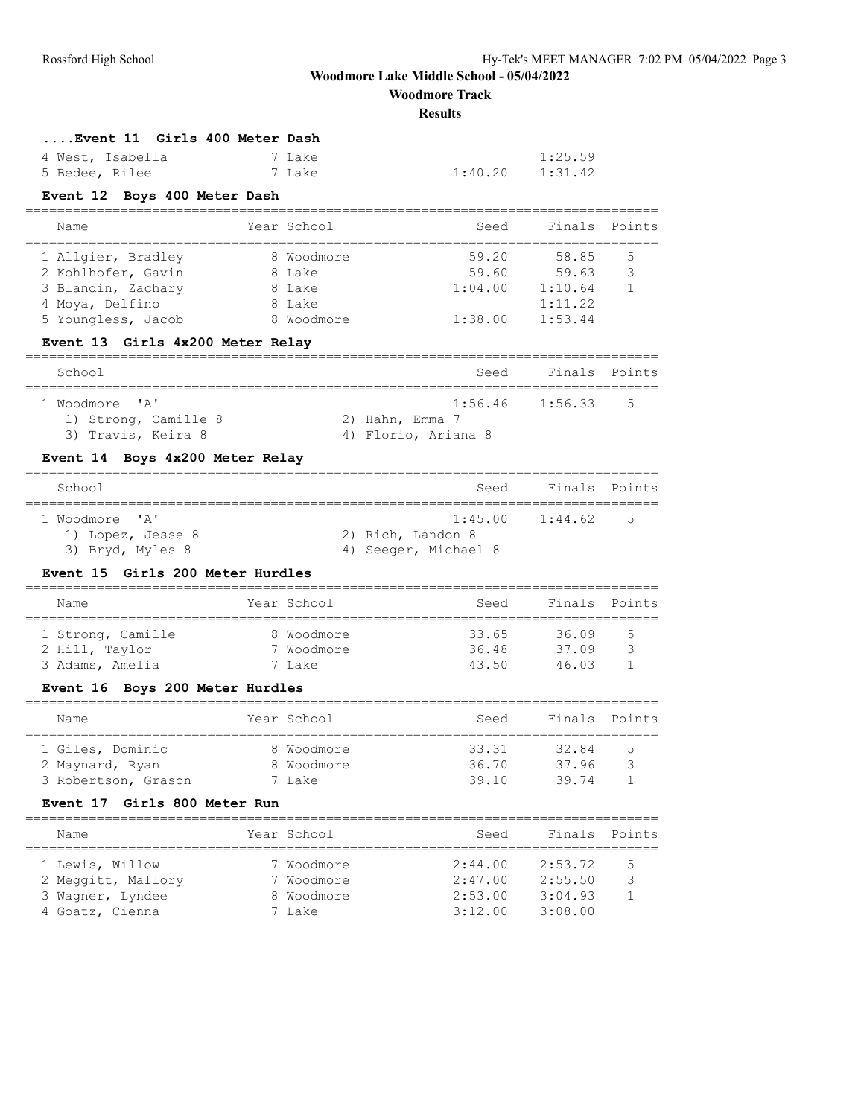**Woodmore Track**

#### **Results**

| Event 11 Girls 400 Meter Dash |        |         |         |
|-------------------------------|--------|---------|---------|
| 4 West, Isabella              | 7 Lake |         | 1:25.59 |
| 5 Bedee, Rilee                | 7 Lake | 1:40.20 | 1:31.42 |

## **Event 12 Boys 400 Meter Dash**

| Year School | Seed    | Finals  | Points |
|-------------|---------|---------|--------|
|             |         |         |        |
| 8 Woodmore  | 59.20   | 58.85   | -5     |
| 8 Lake      | 59.60   | 59.63   | 3      |
| 8 Lake      | 1:04.00 | 1:10.64 |        |
| 8 Lake      |         | 1:11.22 |        |
| 8 Woodmore  | 1:38.00 | 1:53.44 |        |
|             |         |         |        |

### **Event 13 Girls 4x200 Meter Relay**

| School                                     | Seed                                   | Finals Points       |                |
|--------------------------------------------|----------------------------------------|---------------------|----------------|
| 1 Woodmore 'A'                             |                                        | $1:56.46$ $1:56.33$ | $\overline{5}$ |
| 1) Strong, Camille 8<br>3) Travis, Keira 8 | 2) Hahn, Emma 7<br>4) Florio, Ariana 8 |                     |                |

## **Event 14 Boys 4x200 Meter Relay**

| School                                | Seed                                      | Finals Points       |             |
|---------------------------------------|-------------------------------------------|---------------------|-------------|
| 1 Woodmore 'A'                        |                                           | $1:45.00$ $1:44.62$ | $5^{\circ}$ |
| 1) Lopez, Jesse 8<br>3) Bryd, Myles 8 | 2) Rich, Landon 8<br>4) Seeger, Michael 8 |                     |             |

### **Event 15 Girls 200 Meter Hurdles**

| Name                                | Year School              | Seed           | Finals Points  |        |
|-------------------------------------|--------------------------|----------------|----------------|--------|
| 1 Strong, Camille<br>2 Hill, Taylor | 8 Woodmore<br>7 Woodmore | 33.65<br>36.48 | 36.09<br>37.09 | 5<br>२ |
| 3 Adams, Amelia                     | 7 Lake                   | 43.50          | 46.03          |        |

### **Event 16 Boys 200 Meter Hurdles**

| Name                |  | Year School | Seed  | Finals Points |   |  |  |  |
|---------------------|--|-------------|-------|---------------|---|--|--|--|
| 1 Giles, Dominic    |  | 8 Woodmore  | 33.31 | 32.84         | 5 |  |  |  |
| 2 Maynard, Ryan     |  | 8 Woodmore  | 36.70 | 37.96         | ੨ |  |  |  |
| 3 Robertson, Grason |  | 7 Lake      | 39.10 | 39 74         |   |  |  |  |

### **Event 17 Girls 800 Meter Run**

| Name                                                                         | Year School                                      | Seed                                     | Finals Points                            |        |
|------------------------------------------------------------------------------|--------------------------------------------------|------------------------------------------|------------------------------------------|--------|
| 1 Lewis, Willow<br>2 Meggitt, Mallory<br>3 Wagner, Lyndee<br>4 Goatz, Cienna | 7 Woodmore<br>7 Woodmore<br>8 Woodmore<br>7 Lake | 2:44.00<br>2:47.00<br>2:53.00<br>3:12.00 | 2:53.72<br>2:55.50<br>3:04.93<br>3:08.00 | 5<br>₹ |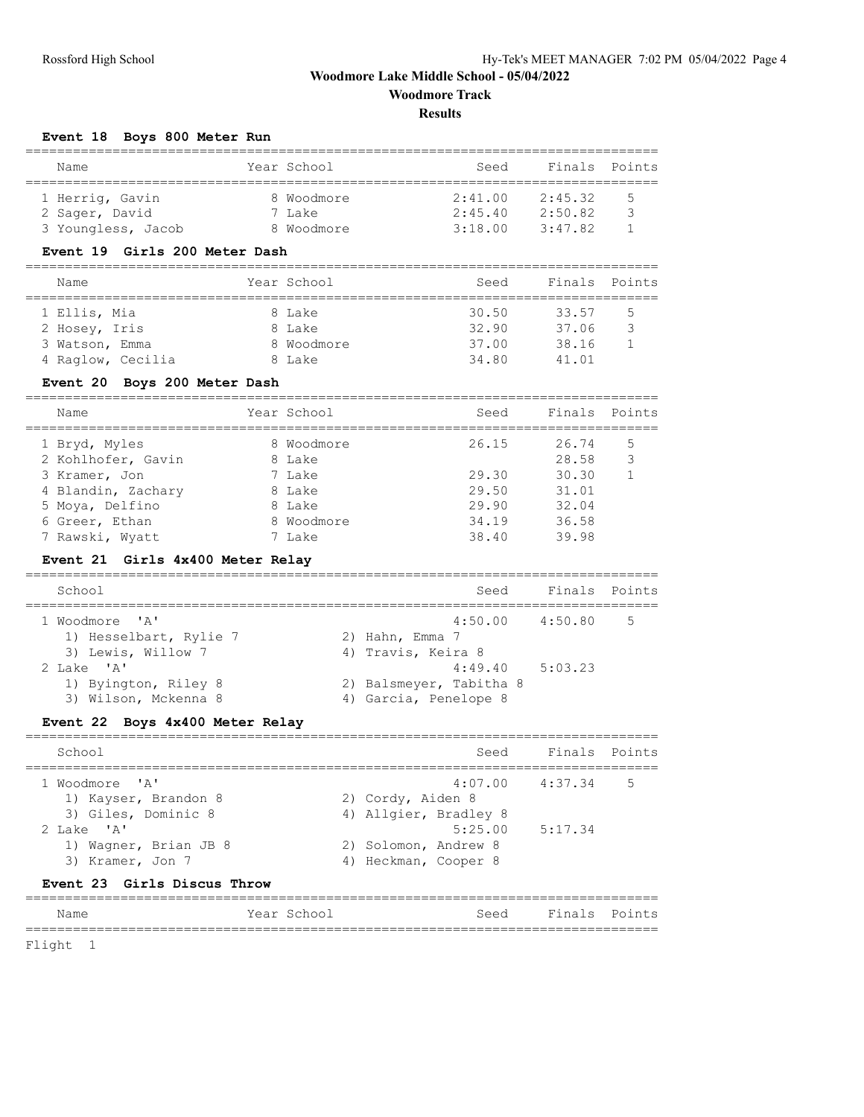## **Woodmore Lake Middle School - 05/04/2022 Woodmore Track**

# **Results**

# **Event 18 Boys 800 Meter Run**

| Name               | Year School | Seed    | Finals Points |    |  |  |  |  |
|--------------------|-------------|---------|---------------|----|--|--|--|--|
|                    |             |         |               |    |  |  |  |  |
| 1 Herrig, Gavin    | 8 Woodmore  | 2:41.00 | 2:45.32       | .5 |  |  |  |  |
| 2 Sager, David     | 7 Lake      | 2:45.40 | 2:50.82       |    |  |  |  |  |
| 3 Youngless, Jacob | 8 Woodmore  | 3:18.00 | 3:47.82       |    |  |  |  |  |

### **Event 19 Girls 200 Meter Dash**

| Name              | Year School | Seed  | Finals Points |   |
|-------------------|-------------|-------|---------------|---|
| 1 Ellis, Mia      | 8 Lake      | 30.50 | 33.57         | 5 |
| 2 Hosey, Iris     | 8 Lake      | 32.90 | 37.06         | 3 |
| 3 Watson, Emma    | 8 Woodmore  | 37.00 | 38.16         |   |
| 4 Raglow, Cecilia | 8 Lake      | 34.80 | 41.01         |   |

### **Event 20 Boys 200 Meter Dash**

| Name               | Year School | Seed  | Finals Points |   |
|--------------------|-------------|-------|---------------|---|
| 1 Bryd, Myles      | 8 Woodmore  | 26.15 | 26.74         | 5 |
| 2 Kohlhofer, Gavin | 8 Lake      |       | 28.58         | 3 |
| 3 Kramer, Jon      | 7 Lake      | 29.30 | 30.30         |   |
| 4 Blandin, Zachary | 8 Lake      | 29.50 | 31.01         |   |
| 5 Moya, Delfino    | 8 Lake      | 29.90 | 32.04         |   |
| 6 Greer, Ethan     | 8 Woodmore  | 34.19 | 36.58         |   |
| 7 Rawski, Wyatt    | 7 Lake      | 38.40 | 39.98         |   |

## **Event 21 Girls 4x400 Meter Relay**

| School                 | Seed                    | Finals Points |    |
|------------------------|-------------------------|---------------|----|
| 1 Woodmore 'A'         | $4:50.00$ $4:50.80$     |               | .5 |
| 1) Hesselbart, Rylie 7 | 2) Hahn, Emma 7         |               |    |
| 3) Lewis, Willow 7     | 4) Travis, Keira 8      |               |    |
| 2 Lake 'A'             | 4:49.40                 | 5:03.23       |    |
| 1) Byington, Riley 8   | 2) Balsmeyer, Tabitha 8 |               |    |
| 3) Wilson, Mckenna 8   | 4) Garcia, Penelope 8   |               |    |
|                        |                         |               |    |

# **Event 22 Boys 4x400 Meter Relay**

| School                                    | Seed                                         | Finals Points       |             |
|-------------------------------------------|----------------------------------------------|---------------------|-------------|
| 1 Woodmore 'A'<br>1) Kayser, Brandon 8    | 2) Cordy, Aiden 8                            | $4:07.00$ $4:37.34$ | $5^{\circ}$ |
| 3) Giles, Dominic 8<br>2 Lake 'A'         | 4) Allgier, Bradley 8<br>5:25.00             | 5:17.34             |             |
| 1) Wagner, Brian JB 8<br>3) Kramer, Jon 7 | 2) Solomon, Andrew 8<br>4) Heckman, Cooper 8 |                     |             |

## **Event 23 Girls Discus Throw**

#### ================================================================================ Name Year School Seed Finals Points ================================================================================

Flight 1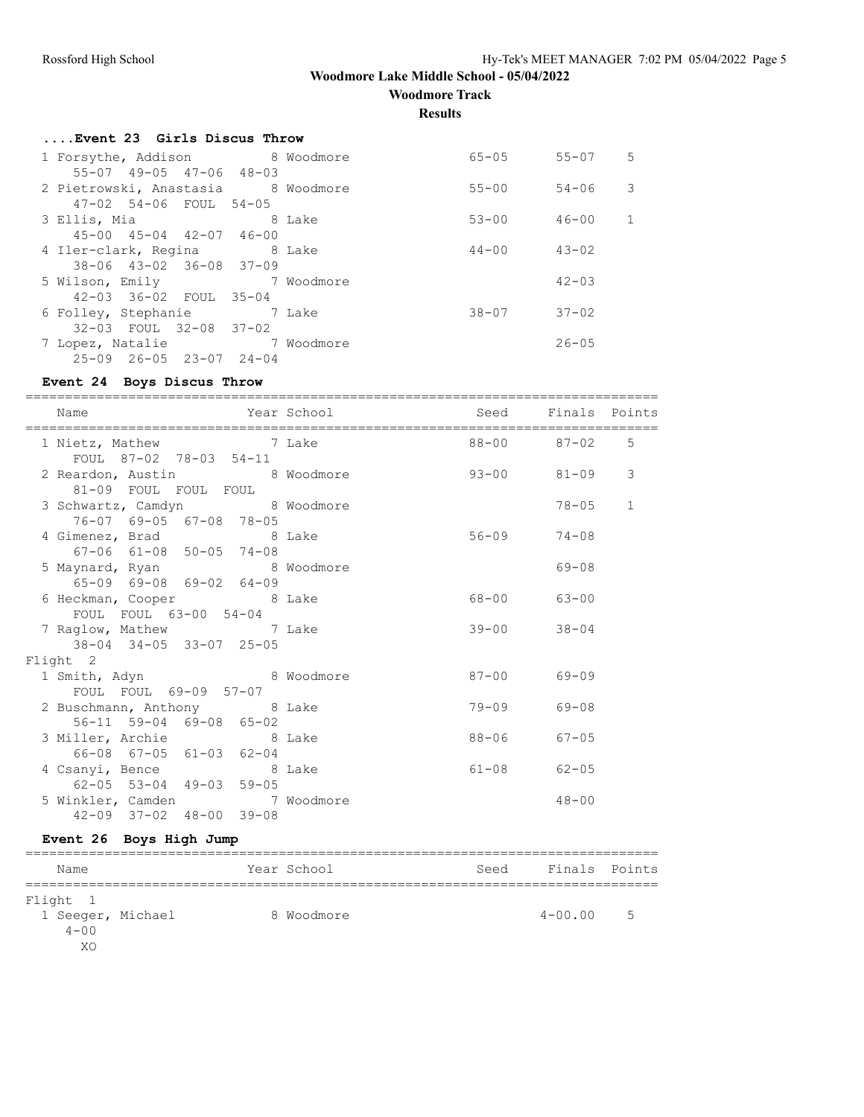**Woodmore Track**

**Results**

| Event 23 Girls Discus Throw                                        |  |                     |            |   |
|--------------------------------------------------------------------|--|---------------------|------------|---|
| 1 Forsythe, Addison 8 Woodmore<br>55-07 49-05 47-06 48-03          |  | 65-05 55-07         |            | 5 |
| 2 Pietrowski, Anastasia 8 Woodmore<br>47-02 54-06 FOUL 54-05       |  | 55-00               | 54-06      | 3 |
| 3 Ellis, Mia and 8 Lake<br>$45 - 00$ $45 - 04$ $42 - 07$ $46 - 00$ |  | $53 - 00$           | 46-00      | 1 |
| 4 Iler-clark, Regina 8 Lake<br>38-06 43-02 36-08 37-09             |  | $44 - 00$ $43 - 02$ |            |   |
| 5 Wilson, Emily 7 Woodmore<br>42-03 36-02 FOUL 35-04               |  |                     | $42 - 0.3$ |   |
| 6 Folley, Stephanie 7 Lake<br>32-03 FOUL 32-08 37-02               |  | $38 - 07$ $37 - 02$ |            |   |
| 7 Lopez, Natalie 37 Woodmore<br>$25-09$ $26-05$ $23-07$ $24-04$    |  |                     | $26 - 05$  |   |
|                                                                    |  |                     |            |   |

# **Event 24 Boys Discus Throw**

| Name                                                           | Year School | Seed Finals Points  |             |   |
|----------------------------------------------------------------|-------------|---------------------|-------------|---|
| 1 Nietz, Mathew 7 Lake 88-00 87-02 5<br>FOUL 87-02 78-03 54-11 |             |                     |             |   |
| 2 Reardon, Austin 8 Woodmore<br>81-09 FOUL FOUL FOUL           |             | $93 - 00$ 81-09     |             | 3 |
| 3 Schwartz, Camdyn 8 Woodmore<br>76-07 69-05 67-08 78-05       |             |                     | $78 - 05$ 1 |   |
| 4 Gimenez, Brad 8 Lake<br>67-06 61-08 50-05 74-08              |             | $56 - 09$ $74 - 08$ |             |   |
| 5 Maynard, Ryan 8 Woodmore<br>$65-09$ $69-08$ $69-02$ $64-09$  |             |                     | $69 - 08$   |   |
| 6 Heckman, Cooper 8 Lake<br>FOUL FOUL 63-00 54-04              |             | 68-00 63-00         |             |   |
| 7 Raglow, Mathew 7 Lake<br>38-04 34-05 33-07 25-05             |             | $39 - 00$ $38 - 04$ |             |   |
| Flight 2                                                       |             |                     |             |   |
| 1 Smith, Adyn 8 Woodmore<br>FOUL FOUL 69-09 57-07              |             | $87 - 00$ 69-09     |             |   |
| 2 Buschmann, Anthony 8 Lake<br>56-11 59-04 69-08 65-02         |             | $79 - 09$           | 69-08       |   |
| 3 Miller, Archie 8 Lake<br>66-08 67-05 61-03 62-04             |             | 88-06 67-05         |             |   |
| 4 Csanyi, Bence 8 Lake<br>62-05 53-04 49-03 59-05              |             | $61 - 08$ $62 - 05$ |             |   |
| 5 Winkler, Camden 7 Woodmore<br>42-09 37-02 48-00 39-08        |             |                     | $48 - 00$   |   |

# **Event 26 Boys High Jump**

| Name              |  | Year School | Seed | Finals Points |   |
|-------------------|--|-------------|------|---------------|---|
|                   |  |             |      |               |   |
| Flight 1          |  |             |      |               |   |
| 1 Seeger, Michael |  | 8 Woodmore  |      | $4 - 00.00$   | 5 |
| $4 - 00$          |  |             |      |               |   |
| XO                |  |             |      |               |   |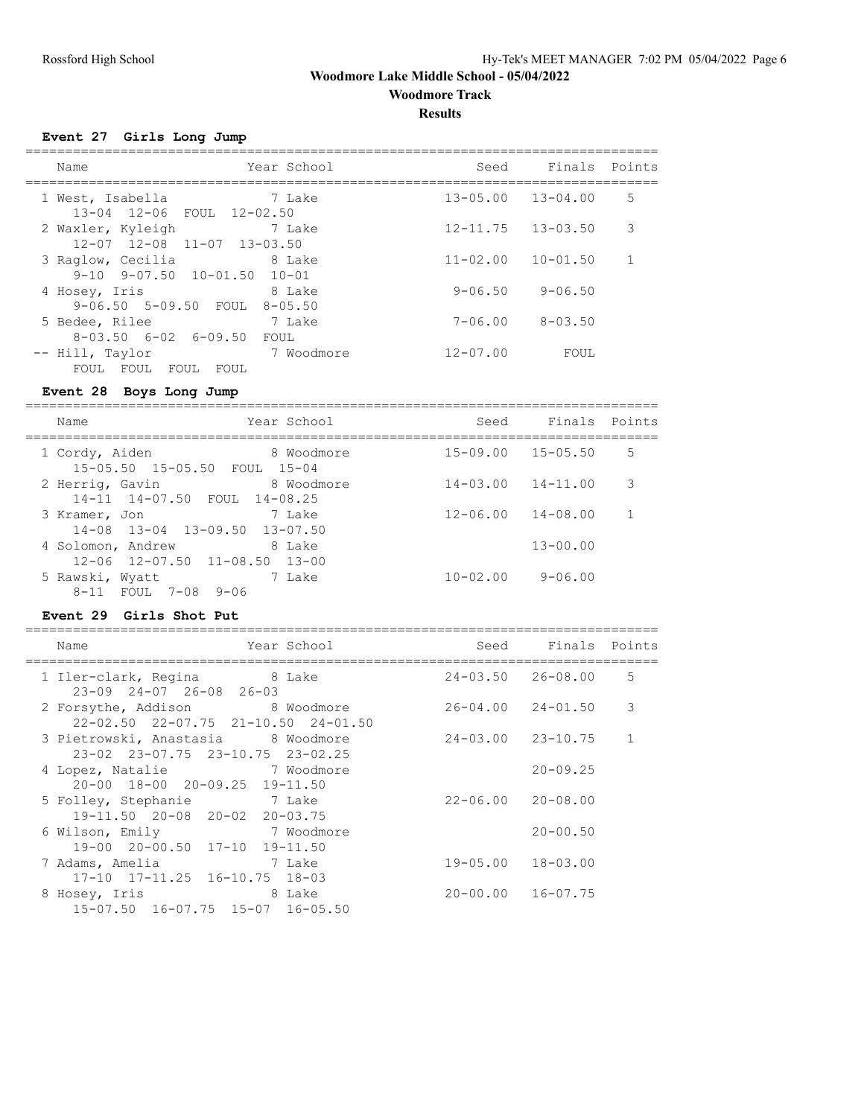**Woodmore Track**

**Results**

================================================================================

**Event 27 Girls Long Jump**

| Name                                                            | Year School            | Seed                      | Finals Points |   |
|-----------------------------------------------------------------|------------------------|---------------------------|---------------|---|
| 1 West, Isabella<br>13-04 12-06 FOUL 12-02.50                   | 7 Lake                 | $13 - 05.00$ $13 - 04.00$ |               | 5 |
| 2 Waxler, Kyleigh<br>$12 - 07$ $12 - 08$ $11 - 07$ $13 - 03.50$ | 7 Lake                 | $12 - 11.75$ $13 - 03.50$ |               | 3 |
| 3 Raglow, Cecilia<br>$9-10$ $9-07.50$ $10-01.50$ $10-01$        | 8 Lake                 | $11 - 02.00$              | $10 - 01.50$  | 1 |
| 4 Hosey, Iris<br>$9-06.50$ $5-09.50$ FOUL                       | 8 Lake<br>$8 - 0.5.50$ | 9-06.50                   | $9 - 06.50$   |   |
| 5 Bedee, Rilee<br>$8-03.50$ $6-02$ $6-09.50$                    | 7 Lake<br>FOUL         | $7 - 06.00$               | $8 - 03.50$   |   |
| -- Hill, Taylor<br>FOUL<br>FOUL<br>FOUL<br>FOUL                 | 7 Woodmore             | $12 - 07.00$              | FOUL          |   |

### **Event 28 Boys Long Jump**

================================================================================ Seed Finals Points

| Name                                                   | Year School | Seed                      | Finals       | Points       |
|--------------------------------------------------------|-------------|---------------------------|--------------|--------------|
| 1 Cordy, Aiden<br>15-05.50 15-05.50 FOUL 15-04         | 8 Woodmore  | $15 - 09.00$ $15 - 05.50$ |              | 5            |
| 2 Herrig, Gavin<br>14-11 14-07.50 FOUL 14-08.25        | 8 Woodmore  | $14 - 03.00$ $14 - 11.00$ |              | 3            |
| 3 Kramer, Jon<br>$14-08$ $13-04$ $13-09.50$ $13-07.50$ | 7 Lake      | $12 - 06.00$ $14 - 08.00$ |              | $\mathbf{1}$ |
| 4 Solomon, Andrew<br>12-06 12-07.50 11-08.50 13-00     | 8 Lake      |                           | $13 - 00.00$ |              |
| 5 Rawski, Wyatt<br>8-11 FOUL 7-08<br>$9 - 06$          | 7 Lake      | $10 - 02.00$              | $9 - 06.00$  |              |

### **Event 29 Girls Shot Put**

| Year School<br>Name                                                    |                           | Seed Finals Points        |              |
|------------------------------------------------------------------------|---------------------------|---------------------------|--------------|
| 1 Iler-clark, Regina 8 Lake<br>$23-09$ $24-07$ $26-08$ $26-03$         |                           | $24 - 03.50$ $26 - 08.00$ | 5            |
| 2 Forsythe, Addison 8 Woodmore<br>22-02.50 22-07.75 21-10.50 24-01.50  |                           | $26 - 04.00$ $24 - 01.50$ | 3            |
| 3 Pietrowski, Anastasia 8 Woodmore<br>23-02 23-07.75 23-10.75 23-02.25 |                           | $24 - 03.00$ $23 - 10.75$ | $\mathbf{1}$ |
| 7 Woodmore<br>4 Lopez, Natalie<br>20-00 18-00 20-09.25 19-11.50        |                           | $20 - 09.25$              |              |
| 5 Folley, Stephanie 7 Lake<br>19-11.50 20-08 20-02 20-03.75            | $22 - 06.00$ $20 - 08.00$ |                           |              |
| 6 Wilson, Emily 7 Woodmore<br>19-00 20-00.50 17-10 19-11.50            |                           | $20 - 00.50$              |              |
| 7 Adams, Amelia 1 7 Lake<br>17-10 17-11.25 16-10.75 18-03              | $19 - 05.00$ $18 - 03.00$ |                           |              |
| 8 Hosey, Iris 8 Lake<br>15-07.50 16-07.75 15-07 16-05.50               | $20 - 00.00$ $16 - 07.75$ |                           |              |